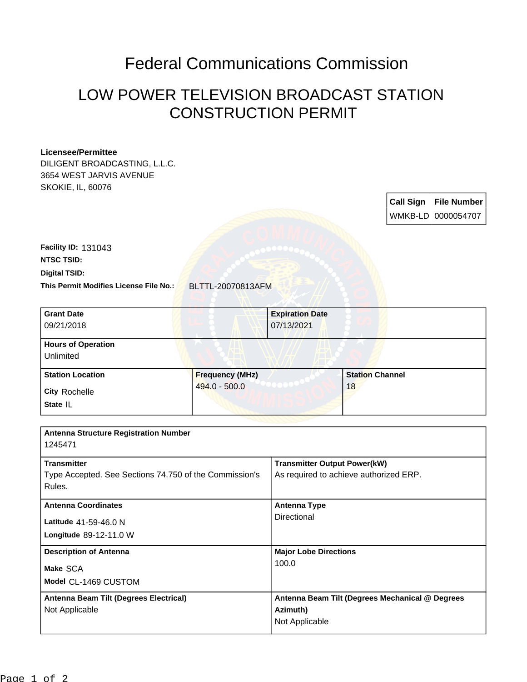## Federal Communications Commission

## LOW POWER TELEVISION BROADCAST STATION CONSTRUCTION PERMIT

## **Licensee/Permittee**

DILIGENT BROADCASTING, L.L.C. 3654 WEST JARVIS AVENUE SKOKIE, IL, 60076

> **Call Sign File Number** WMKB-LD 0000054707

**Digital TSID: NTSC TSID: Facility ID:** 131043

**This Permit Modifies License File No.:** BLTTL-20070813AFM

| <b>Grant Date</b><br>09/21/2018<br><b>Hours of Operation</b><br>Unlimited              |                                           | <b>Expiration Date</b><br>07/13/2021                                          |                              |  |
|----------------------------------------------------------------------------------------|-------------------------------------------|-------------------------------------------------------------------------------|------------------------------|--|
| <b>Station Location</b><br><b>City Rochelle</b><br>State IL                            | <b>Frequency (MHz)</b><br>$494.0 - 500.0$ |                                                                               | <b>Station Channel</b><br>18 |  |
| <b>Antenna Structure Registration Number</b><br>1245471                                |                                           |                                                                               |                              |  |
| <b>Transmitter</b><br>Type Accepted. See Sections 74.750 of the Commission's<br>Rules. |                                           | <b>Transmitter Output Power(kW)</b><br>As required to achieve authorized ERP. |                              |  |

| <b>Antenna Coordinates</b><br>Latitude 41-59-46.0 N<br>Longitude 89-12-11.0 W | <b>Antenna Type</b><br>Directional                                            |
|-------------------------------------------------------------------------------|-------------------------------------------------------------------------------|
| <b>Description of Antenna</b><br>Make SCA<br>Model CL-1469 CUSTOM             | <b>Major Lobe Directions</b><br>100.0                                         |
| Antenna Beam Tilt (Degrees Electrical)<br>Not Applicable                      | Antenna Beam Tilt (Degrees Mechanical @ Degrees<br>Azimuth)<br>Not Applicable |